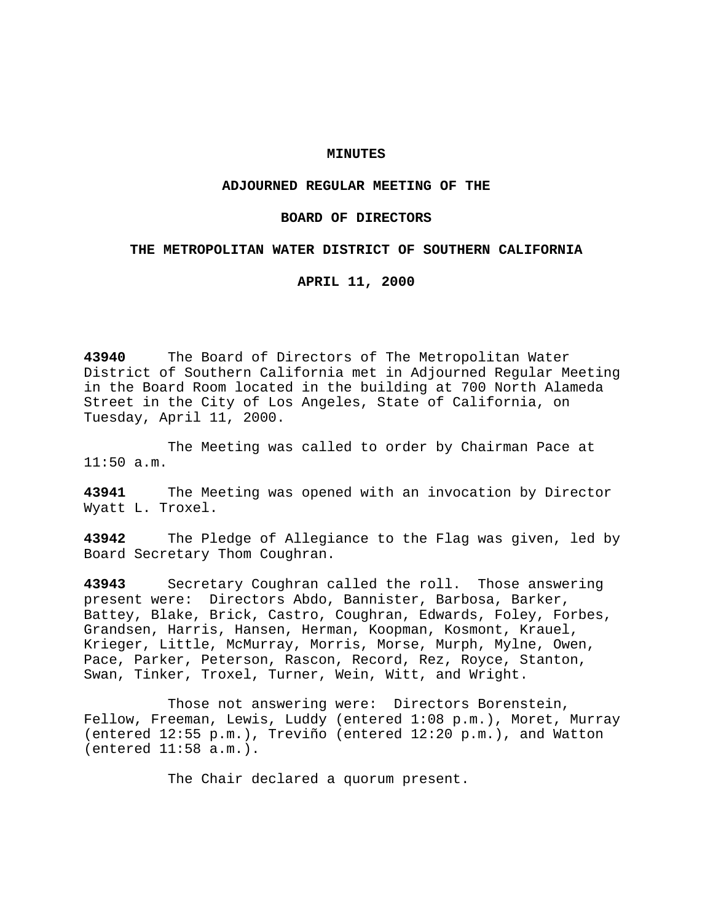### **MINUTES**

## **ADJOURNED REGULAR MEETING OF THE**

### **BOARD OF DIRECTORS**

## **THE METROPOLITAN WATER DISTRICT OF SOUTHERN CALIFORNIA**

**APRIL 11, 2000**

**43940** The Board of Directors of The Metropolitan Water District of Southern California met in Adjourned Regular Meeting in the Board Room located in the building at 700 North Alameda Street in the City of Los Angeles, State of California, on Tuesday, April 11, 2000.

The Meeting was called to order by Chairman Pace at  $11:50$  a.m.

**43941** The Meeting was opened with an invocation by Director Wyatt L. Troxel.

**43942** The Pledge of Allegiance to the Flag was given, led by Board Secretary Thom Coughran.

**43943** Secretary Coughran called the roll. Those answering present were: Directors Abdo, Bannister, Barbosa, Barker, Battey, Blake, Brick, Castro, Coughran, Edwards, Foley, Forbes, Grandsen, Harris, Hansen, Herman, Koopman, Kosmont, Krauel, Krieger, Little, McMurray, Morris, Morse, Murph, Mylne, Owen, Pace, Parker, Peterson, Rascon, Record, Rez, Royce, Stanton, Swan, Tinker, Troxel, Turner, Wein, Witt, and Wright.

Those not answering were: Directors Borenstein, Fellow, Freeman, Lewis, Luddy (entered 1:08 p.m.), Moret, Murray (entered 12:55 p.m.), Treviño (entered 12:20 p.m.), and Watton (entered 11:58 a.m.).

The Chair declared a quorum present.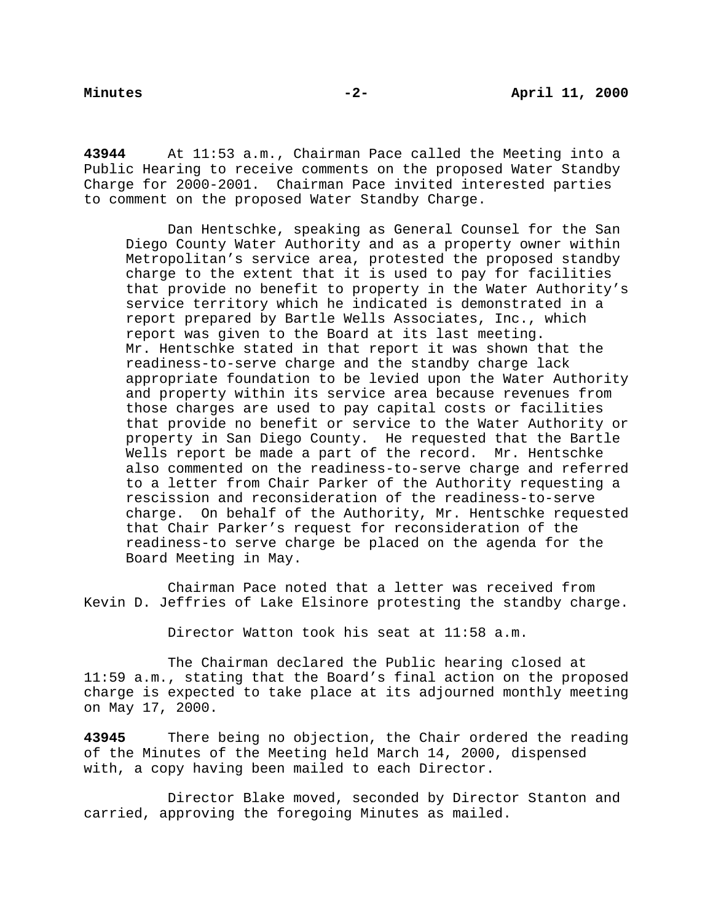**43944** At 11:53 a.m., Chairman Pace called the Meeting into a Public Hearing to receive comments on the proposed Water Standby Charge for 2000-2001. Chairman Pace invited interested parties to comment on the proposed Water Standby Charge.

Dan Hentschke, speaking as General Counsel for the San Diego County Water Authority and as a property owner within Metropolitan's service area, protested the proposed standby charge to the extent that it is used to pay for facilities that provide no benefit to property in the Water Authority's service territory which he indicated is demonstrated in a report prepared by Bartle Wells Associates, Inc., which report was given to the Board at its last meeting. Mr. Hentschke stated in that report it was shown that the readiness-to-serve charge and the standby charge lack appropriate foundation to be levied upon the Water Authority and property within its service area because revenues from those charges are used to pay capital costs or facilities that provide no benefit or service to the Water Authority or property in San Diego County. He requested that the Bartle Wells report be made a part of the record. Mr. Hentschke also commented on the readiness-to-serve charge and referred to a letter from Chair Parker of the Authority requesting a rescission and reconsideration of the readiness-to-serve charge. On behalf of the Authority, Mr. Hentschke requested that Chair Parker's request for reconsideration of the readiness-to serve charge be placed on the agenda for the Board Meeting in May.

Chairman Pace noted that a letter was received from Kevin D. Jeffries of Lake Elsinore protesting the standby charge.

Director Watton took his seat at 11:58 a.m.

The Chairman declared the Public hearing closed at 11:59 a.m., stating that the Board's final action on the proposed charge is expected to take place at its adjourned monthly meeting on May 17, 2000.

**43945** There being no objection, the Chair ordered the reading of the Minutes of the Meeting held March 14, 2000, dispensed with, a copy having been mailed to each Director.

Director Blake moved, seconded by Director Stanton and carried, approving the foregoing Minutes as mailed.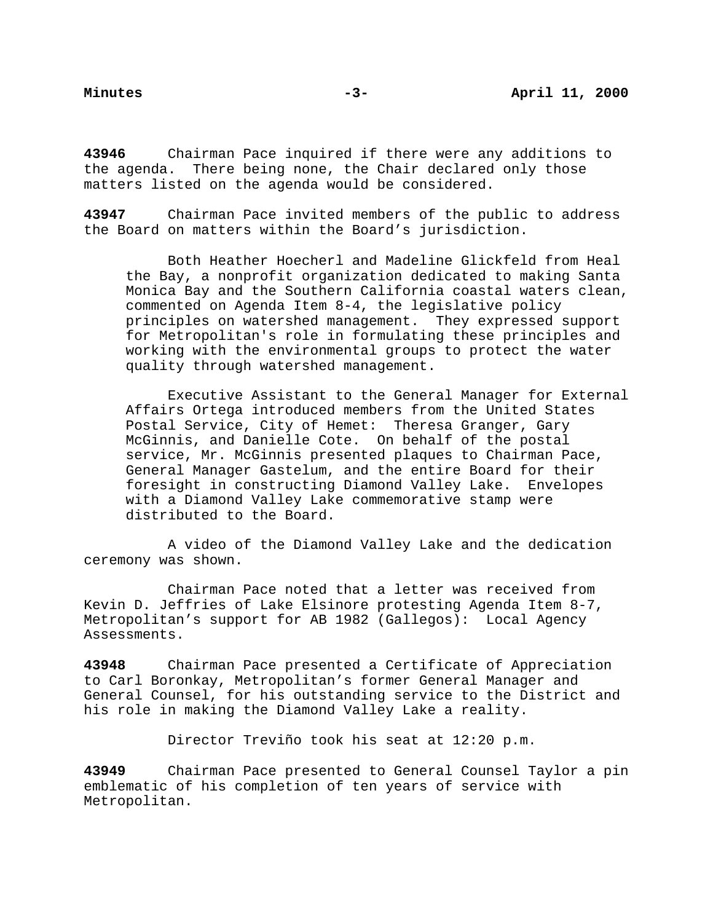**43946** Chairman Pace inquired if there were any additions to the agenda. There being none, the Chair declared only those matters listed on the agenda would be considered.

**43947** Chairman Pace invited members of the public to address the Board on matters within the Board's jurisdiction.

Both Heather Hoecherl and Madeline Glickfeld from Heal the Bay, a nonprofit organization dedicated to making Santa Monica Bay and the Southern California coastal waters clean, commented on Agenda Item 8-4, the legislative policy principles on watershed management. They expressed support for Metropolitan's role in formulating these principles and working with the environmental groups to protect the water quality through watershed management.

Executive Assistant to the General Manager for External Affairs Ortega introduced members from the United States Postal Service, City of Hemet: Theresa Granger, Gary McGinnis, and Danielle Cote. On behalf of the postal service, Mr. McGinnis presented plaques to Chairman Pace, General Manager Gastelum, and the entire Board for their foresight in constructing Diamond Valley Lake. Envelopes with a Diamond Valley Lake commemorative stamp were distributed to the Board.

A video of the Diamond Valley Lake and the dedication ceremony was shown.

Chairman Pace noted that a letter was received from Kevin D. Jeffries of Lake Elsinore protesting Agenda Item 8-7, Metropolitan's support for AB 1982 (Gallegos): Local Agency Assessments.

**43948** Chairman Pace presented a Certificate of Appreciation to Carl Boronkay, Metropolitan's former General Manager and General Counsel, for his outstanding service to the District and his role in making the Diamond Valley Lake a reality.

Director Treviño took his seat at 12:20 p.m.

**43949** Chairman Pace presented to General Counsel Taylor a pin emblematic of his completion of ten years of service with Metropolitan.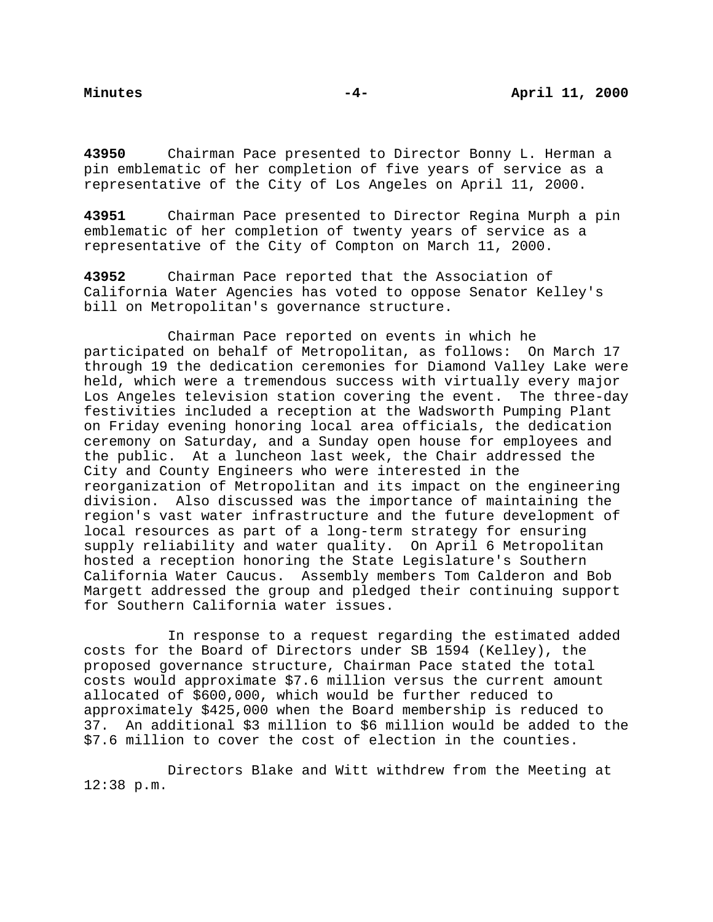**43950** Chairman Pace presented to Director Bonny L. Herman a pin emblematic of her completion of five years of service as a representative of the City of Los Angeles on April 11, 2000.

**43951** Chairman Pace presented to Director Regina Murph a pin emblematic of her completion of twenty years of service as a representative of the City of Compton on March 11, 2000.

**43952** Chairman Pace reported that the Association of California Water Agencies has voted to oppose Senator Kelley's bill on Metropolitan's governance structure.

Chairman Pace reported on events in which he participated on behalf of Metropolitan, as follows: On March 17 through 19 the dedication ceremonies for Diamond Valley Lake were held, which were a tremendous success with virtually every major Los Angeles television station covering the event. The three-day festivities included a reception at the Wadsworth Pumping Plant on Friday evening honoring local area officials, the dedication ceremony on Saturday, and a Sunday open house for employees and the public. At a luncheon last week, the Chair addressed the City and County Engineers who were interested in the reorganization of Metropolitan and its impact on the engineering division. Also discussed was the importance of maintaining the region's vast water infrastructure and the future development of local resources as part of a long-term strategy for ensuring supply reliability and water quality. On April 6 Metropolitan hosted a reception honoring the State Legislature's Southern California Water Caucus. Assembly members Tom Calderon and Bob Margett addressed the group and pledged their continuing support for Southern California water issues.

In response to a request regarding the estimated added costs for the Board of Directors under SB 1594 (Kelley), the proposed governance structure, Chairman Pace stated the total costs would approximate \$7.6 million versus the current amount allocated of \$600,000, which would be further reduced to approximately \$425,000 when the Board membership is reduced to 37. An additional \$3 million to \$6 million would be added to the \$7.6 million to cover the cost of election in the counties.

Directors Blake and Witt withdrew from the Meeting at 12:38 p.m.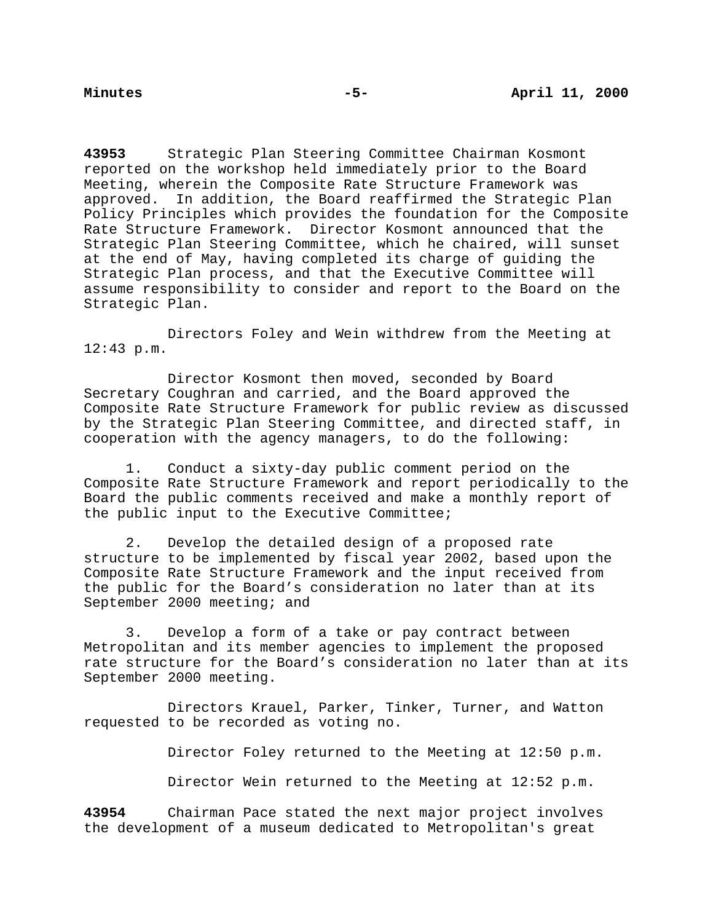**43953** Strategic Plan Steering Committee Chairman Kosmont reported on the workshop held immediately prior to the Board Meeting, wherein the Composite Rate Structure Framework was approved. In addition, the Board reaffirmed the Strategic Plan Policy Principles which provides the foundation for the Composite Rate Structure Framework. Director Kosmont announced that the Strategic Plan Steering Committee, which he chaired, will sunset at the end of May, having completed its charge of guiding the Strategic Plan process, and that the Executive Committee will assume responsibility to consider and report to the Board on the Strategic Plan.

Directors Foley and Wein withdrew from the Meeting at 12:43 p.m.

Director Kosmont then moved, seconded by Board Secretary Coughran and carried, and the Board approved the Composite Rate Structure Framework for public review as discussed by the Strategic Plan Steering Committee, and directed staff, in cooperation with the agency managers, to do the following:

1. Conduct a sixty-day public comment period on the Composite Rate Structure Framework and report periodically to the Board the public comments received and make a monthly report of the public input to the Executive Committee;

2. Develop the detailed design of a proposed rate structure to be implemented by fiscal year 2002, based upon the Composite Rate Structure Framework and the input received from the public for the Board's consideration no later than at its September 2000 meeting; and

3. Develop a form of a take or pay contract between Metropolitan and its member agencies to implement the proposed rate structure for the Board's consideration no later than at its September 2000 meeting.

Directors Krauel, Parker, Tinker, Turner, and Watton requested to be recorded as voting no.

Director Foley returned to the Meeting at 12:50 p.m.

Director Wein returned to the Meeting at 12:52 p.m.

**43954** Chairman Pace stated the next major project involves the development of a museum dedicated to Metropolitan's great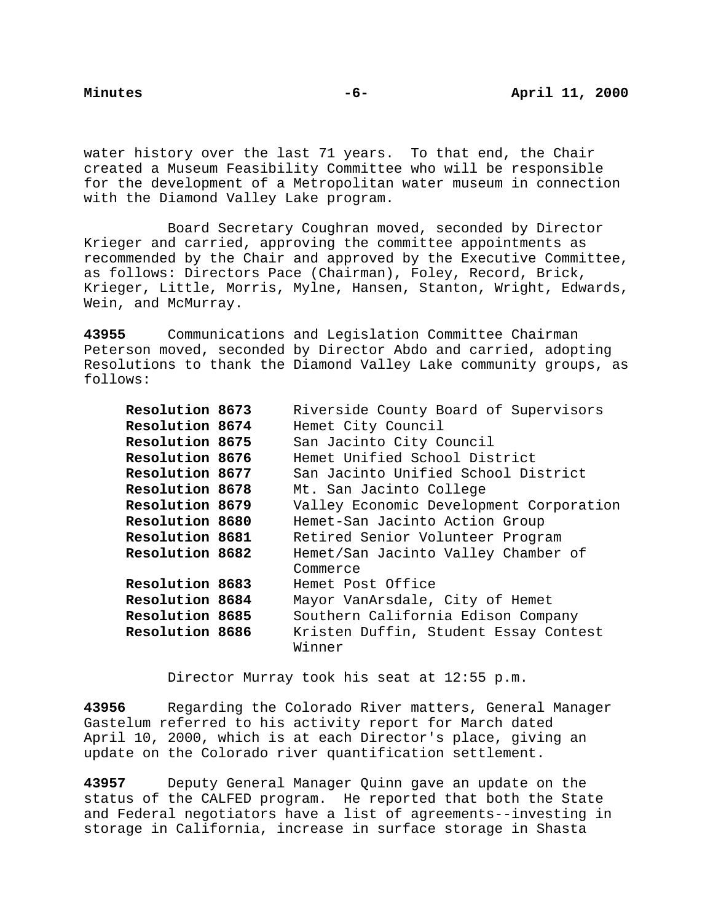water history over the last 71 years. To that end, the Chair created a Museum Feasibility Committee who will be responsible for the development of a Metropolitan water museum in connection with the Diamond Valley Lake program.

Board Secretary Coughran moved, seconded by Director Krieger and carried, approving the committee appointments as recommended by the Chair and approved by the Executive Committee, as follows: Directors Pace (Chairman), Foley, Record, Brick, Krieger, Little, Morris, Mylne, Hansen, Stanton, Wright, Edwards, Wein, and McMurray.

**43955** Communications and Legislation Committee Chairman Peterson moved, seconded by Director Abdo and carried, adopting Resolutions to thank the Diamond Valley Lake community groups, as follows:

| Resolution 8673 | Riverside County Board of Supervisors   |
|-----------------|-----------------------------------------|
| Resolution 8674 | Hemet City Council                      |
| Resolution 8675 | San Jacinto City Council                |
| Resolution 8676 | Hemet Unified School District           |
| Resolution 8677 | San Jacinto Unified School District     |
| Resolution 8678 | Mt. San Jacinto College                 |
| Resolution 8679 | Valley Economic Development Corporation |
| Resolution 8680 | Hemet-San Jacinto Action Group          |
| Resolution 8681 | Retired Senior Volunteer Program        |
| Resolution 8682 | Hemet/San Jacinto Valley Chamber of     |
|                 | Commerce                                |
| Resolution 8683 | Hemet Post Office                       |
| Resolution 8684 | Mayor VanArsdale, City of Hemet         |
| Resolution 8685 | Southern California Edison Company      |
| Resolution 8686 | Kristen Duffin, Student Essay Contest   |
|                 | Winner                                  |
|                 |                                         |

Director Murray took his seat at 12:55 p.m.

**43956** Regarding the Colorado River matters, General Manager Gastelum referred to his activity report for March dated April 10, 2000, which is at each Director's place, giving an update on the Colorado river quantification settlement.

**43957** Deputy General Manager Quinn gave an update on the status of the CALFED program. He reported that both the State and Federal negotiators have a list of agreements--investing in storage in California, increase in surface storage in Shasta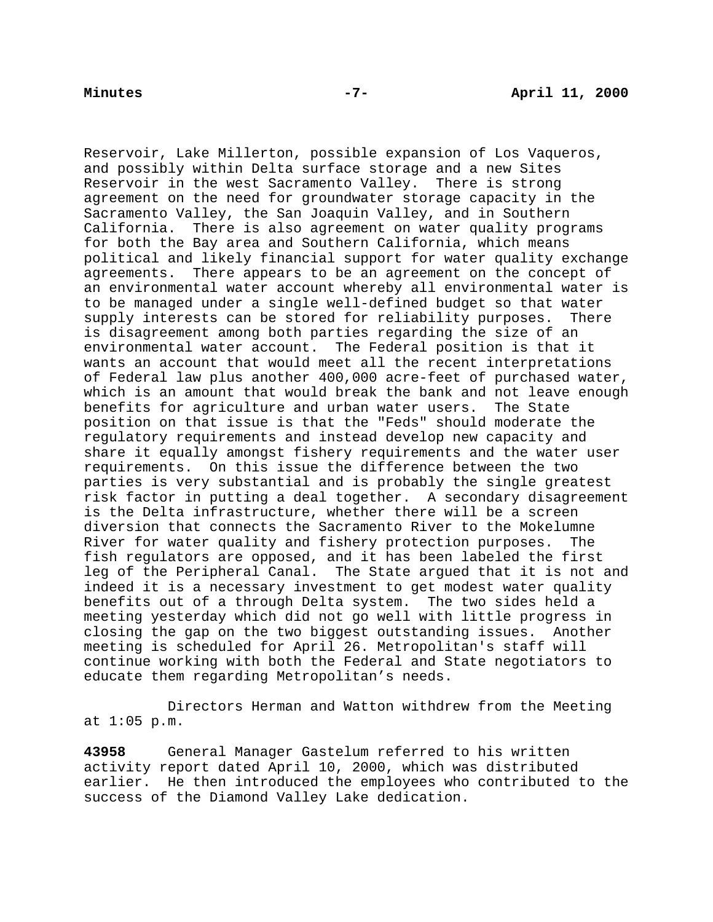Reservoir, Lake Millerton, possible expansion of Los Vaqueros, and possibly within Delta surface storage and a new Sites Reservoir in the west Sacramento Valley. There is strong agreement on the need for groundwater storage capacity in the Sacramento Valley, the San Joaquin Valley, and in Southern California. There is also agreement on water quality programs for both the Bay area and Southern California, which means political and likely financial support for water quality exchange agreements. There appears to be an agreement on the concept of an environmental water account whereby all environmental water is to be managed under a single well-defined budget so that water supply interests can be stored for reliability purposes. There is disagreement among both parties regarding the size of an environmental water account. The Federal position is that it wants an account that would meet all the recent interpretations of Federal law plus another 400,000 acre-feet of purchased water, which is an amount that would break the bank and not leave enough benefits for agriculture and urban water users. The State position on that issue is that the "Feds" should moderate the regulatory requirements and instead develop new capacity and share it equally amongst fishery requirements and the water user requirements. On this issue the difference between the two parties is very substantial and is probably the single greatest risk factor in putting a deal together. A secondary disagreement is the Delta infrastructure, whether there will be a screen diversion that connects the Sacramento River to the Mokelumne River for water quality and fishery protection purposes. The fish regulators are opposed, and it has been labeled the first leg of the Peripheral Canal. The State argued that it is not and indeed it is a necessary investment to get modest water quality benefits out of a through Delta system. The two sides held a meeting yesterday which did not go well with little progress in closing the gap on the two biggest outstanding issues. Another meeting is scheduled for April 26. Metropolitan's staff will continue working with both the Federal and State negotiators to educate them regarding Metropolitan's needs.

Directors Herman and Watton withdrew from the Meeting at 1:05 p.m.

**43958** General Manager Gastelum referred to his written activity report dated April 10, 2000, which was distributed earlier. He then introduced the employees who contributed to the success of the Diamond Valley Lake dedication.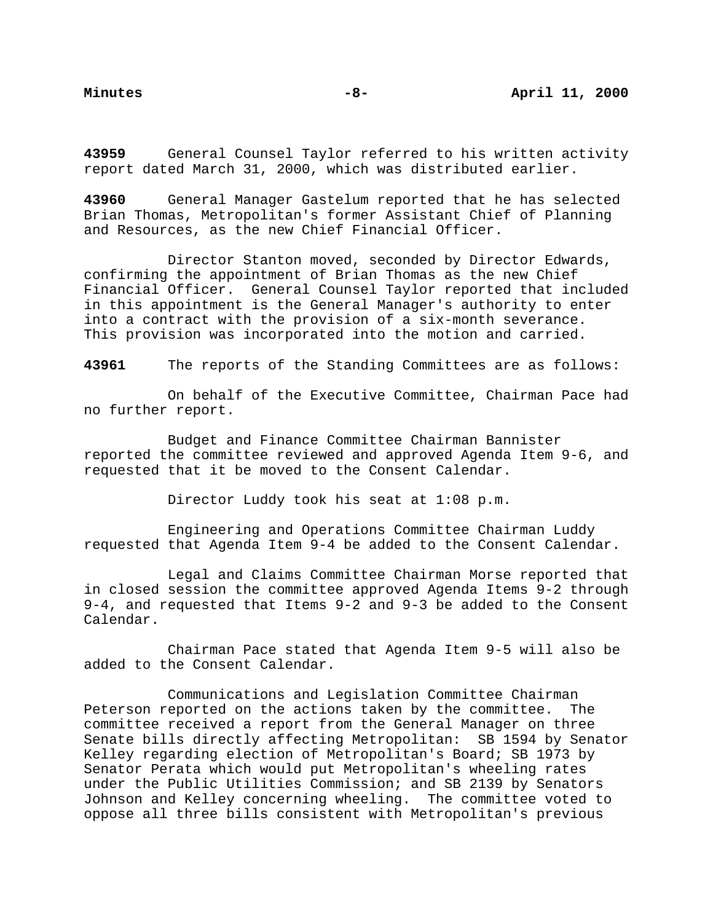**43959** General Counsel Taylor referred to his written activity report dated March 31, 2000, which was distributed earlier.

**43960** General Manager Gastelum reported that he has selected Brian Thomas, Metropolitan's former Assistant Chief of Planning and Resources, as the new Chief Financial Officer.

Director Stanton moved, seconded by Director Edwards, confirming the appointment of Brian Thomas as the new Chief Financial Officer. General Counsel Taylor reported that included in this appointment is the General Manager's authority to enter into a contract with the provision of a six-month severance. This provision was incorporated into the motion and carried.

**43961** The reports of the Standing Committees are as follows:

On behalf of the Executive Committee, Chairman Pace had no further report.

Budget and Finance Committee Chairman Bannister reported the committee reviewed and approved Agenda Item 9-6, and requested that it be moved to the Consent Calendar.

Director Luddy took his seat at 1:08 p.m.

Engineering and Operations Committee Chairman Luddy requested that Agenda Item 9-4 be added to the Consent Calendar.

Legal and Claims Committee Chairman Morse reported that in closed session the committee approved Agenda Items 9-2 through 9-4, and requested that Items 9-2 and 9-3 be added to the Consent Calendar.

Chairman Pace stated that Agenda Item 9-5 will also be added to the Consent Calendar.

Communications and Legislation Committee Chairman Peterson reported on the actions taken by the committee. The committee received a report from the General Manager on three Senate bills directly affecting Metropolitan: SB 1594 by Senator Kelley regarding election of Metropolitan's Board; SB 1973 by Senator Perata which would put Metropolitan's wheeling rates under the Public Utilities Commission; and SB 2139 by Senators Johnson and Kelley concerning wheeling. The committee voted to oppose all three bills consistent with Metropolitan's previous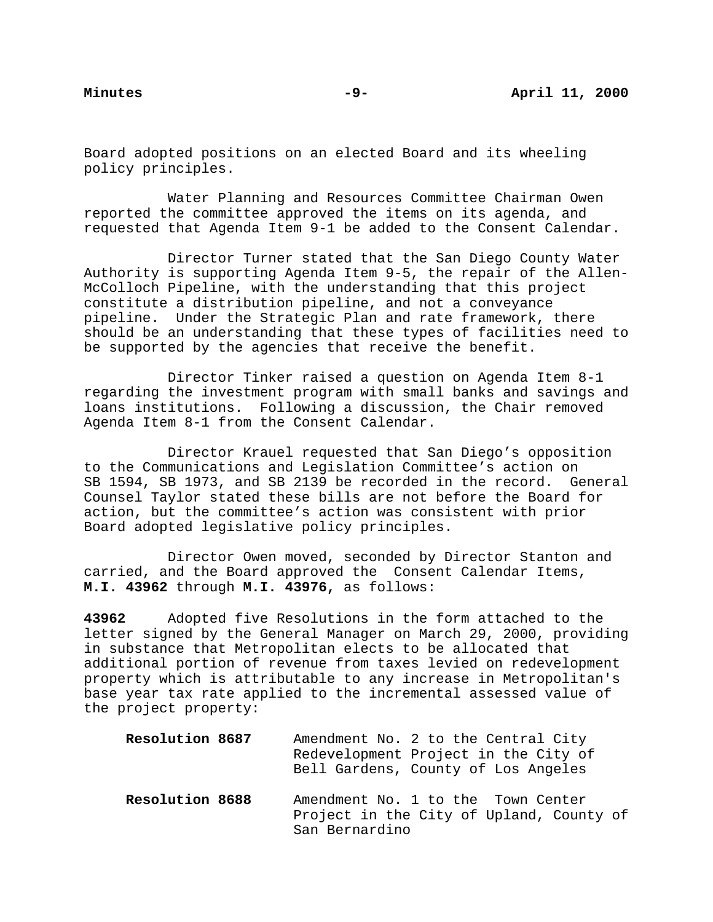Board adopted positions on an elected Board and its wheeling policy principles.

Water Planning and Resources Committee Chairman Owen reported the committee approved the items on its agenda, and requested that Agenda Item 9-1 be added to the Consent Calendar.

Director Turner stated that the San Diego County Water Authority is supporting Agenda Item 9-5, the repair of the Allen-McColloch Pipeline, with the understanding that this project constitute a distribution pipeline, and not a conveyance pipeline. Under the Strategic Plan and rate framework, there should be an understanding that these types of facilities need to be supported by the agencies that receive the benefit.

Director Tinker raised a question on Agenda Item 8-1 regarding the investment program with small banks and savings and loans institutions. Following a discussion, the Chair removed Agenda Item 8-1 from the Consent Calendar.

Director Krauel requested that San Diego's opposition to the Communications and Legislation Committee's action on SB 1594, SB 1973, and SB 2139 be recorded in the record. General Counsel Taylor stated these bills are not before the Board for action, but the committee's action was consistent with prior Board adopted legislative policy principles.

Director Owen moved, seconded by Director Stanton and carried, and the Board approved the Consent Calendar Items, **M.I. 43962** through **M.I. 43976,** as follows:

**43962** Adopted five Resolutions in the form attached to the letter signed by the General Manager on March 29, 2000, providing in substance that Metropolitan elects to be allocated that additional portion of revenue from taxes levied on redevelopment property which is attributable to any increase in Metropolitan's base year tax rate applied to the incremental assessed value of the project property:

| Resolution 8687 | Amendment No. 2 to the Central City<br>Redevelopment Project in the City of<br>Bell Gardens, County of Los Angeles |
|-----------------|--------------------------------------------------------------------------------------------------------------------|
| Resolution 8688 | Amendment No. 1 to the Town Center<br>Project in the City of Upland, County of<br>San Bernardino                   |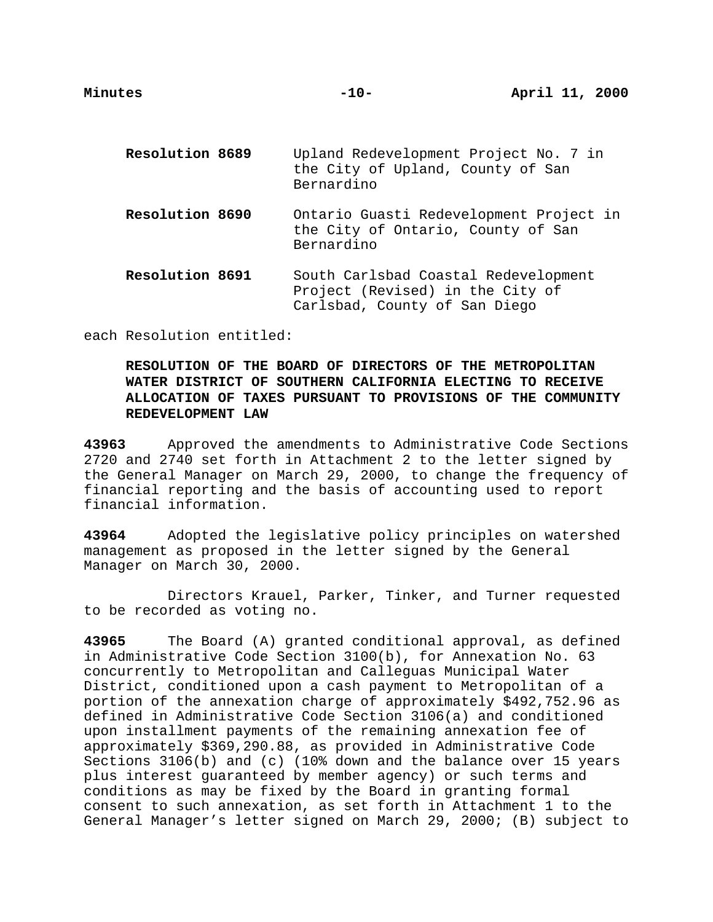| Resolution 8689 | Upland Redevelopment Project No. 7 in<br>the City of Upland, County of San<br>Bernardino                  |
|-----------------|-----------------------------------------------------------------------------------------------------------|
| Resolution 8690 | Ontario Guasti Redevelopment Project in<br>the City of Ontario, County of San<br>Bernardino               |
| Resolution 8691 | South Carlsbad Coastal Redevelopment<br>Project (Revised) in the City of<br>Carlsbad, County of San Diego |

each Resolution entitled:

# **RESOLUTION OF THE BOARD OF DIRECTORS OF THE METROPOLITAN WATER DISTRICT OF SOUTHERN CALIFORNIA ELECTING TO RECEIVE ALLOCATION OF TAXES PURSUANT TO PROVISIONS OF THE COMMUNITY REDEVELOPMENT LAW**

**43963** Approved the amendments to Administrative Code Sections 2720 and 2740 set forth in Attachment 2 to the letter signed by the General Manager on March 29, 2000, to change the frequency of financial reporting and the basis of accounting used to report financial information.

**43964** Adopted the legislative policy principles on watershed management as proposed in the letter signed by the General Manager on March 30, 2000.

Directors Krauel, Parker, Tinker, and Turner requested to be recorded as voting no.

**43965** The Board (A) granted conditional approval, as defined in Administrative Code Section 3100(b), for Annexation No. 63 concurrently to Metropolitan and Calleguas Municipal Water District, conditioned upon a cash payment to Metropolitan of a portion of the annexation charge of approximately \$492,752.96 as defined in Administrative Code Section 3106(a) and conditioned upon installment payments of the remaining annexation fee of approximately \$369,290.88, as provided in Administrative Code Sections 3106(b) and (c) (10% down and the balance over 15 years plus interest guaranteed by member agency) or such terms and conditions as may be fixed by the Board in granting formal consent to such annexation, as set forth in Attachment 1 to the General Manager's letter signed on March 29, 2000; (B) subject to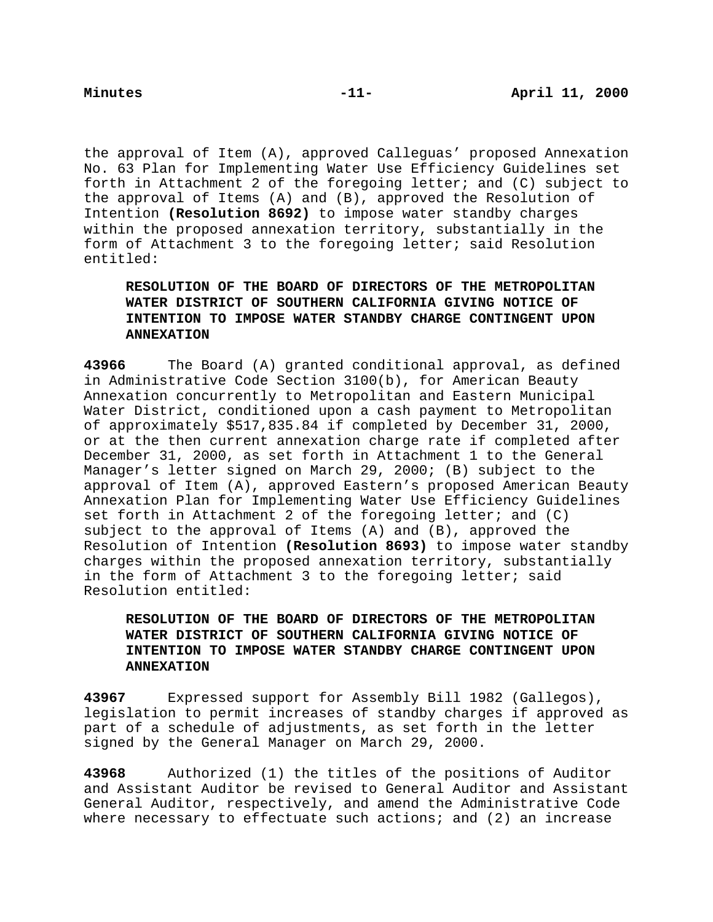the approval of Item (A), approved Calleguas' proposed Annexation No. 63 Plan for Implementing Water Use Efficiency Guidelines set forth in Attachment 2 of the foregoing letter; and (C) subject to the approval of Items (A) and (B), approved the Resolution of Intention **(Resolution 8692)** to impose water standby charges within the proposed annexation territory, substantially in the form of Attachment 3 to the foregoing letter; said Resolution entitled:

# **RESOLUTION OF THE BOARD OF DIRECTORS OF THE METROPOLITAN WATER DISTRICT OF SOUTHERN CALIFORNIA GIVING NOTICE OF INTENTION TO IMPOSE WATER STANDBY CHARGE CONTINGENT UPON ANNEXATION**

**43966** The Board (A) granted conditional approval, as defined in Administrative Code Section 3100(b), for American Beauty Annexation concurrently to Metropolitan and Eastern Municipal Water District, conditioned upon a cash payment to Metropolitan of approximately \$517,835.84 if completed by December 31, 2000, or at the then current annexation charge rate if completed after December 31, 2000, as set forth in Attachment 1 to the General Manager's letter signed on March 29, 2000; (B) subject to the approval of Item (A), approved Eastern's proposed American Beauty Annexation Plan for Implementing Water Use Efficiency Guidelines set forth in Attachment 2 of the foregoing letter; and  $(C)$ subject to the approval of Items (A) and (B), approved the Resolution of Intention **(Resolution 8693)** to impose water standby charges within the proposed annexation territory, substantially in the form of Attachment 3 to the foregoing letter; said Resolution entitled:

# **RESOLUTION OF THE BOARD OF DIRECTORS OF THE METROPOLITAN WATER DISTRICT OF SOUTHERN CALIFORNIA GIVING NOTICE OF INTENTION TO IMPOSE WATER STANDBY CHARGE CONTINGENT UPON ANNEXATION**

**43967** Expressed support for Assembly Bill 1982 (Gallegos), legislation to permit increases of standby charges if approved as part of a schedule of adjustments, as set forth in the letter signed by the General Manager on March 29, 2000.

**43968** Authorized (1) the titles of the positions of Auditor and Assistant Auditor be revised to General Auditor and Assistant General Auditor, respectively, and amend the Administrative Code where necessary to effectuate such actions; and (2) an increase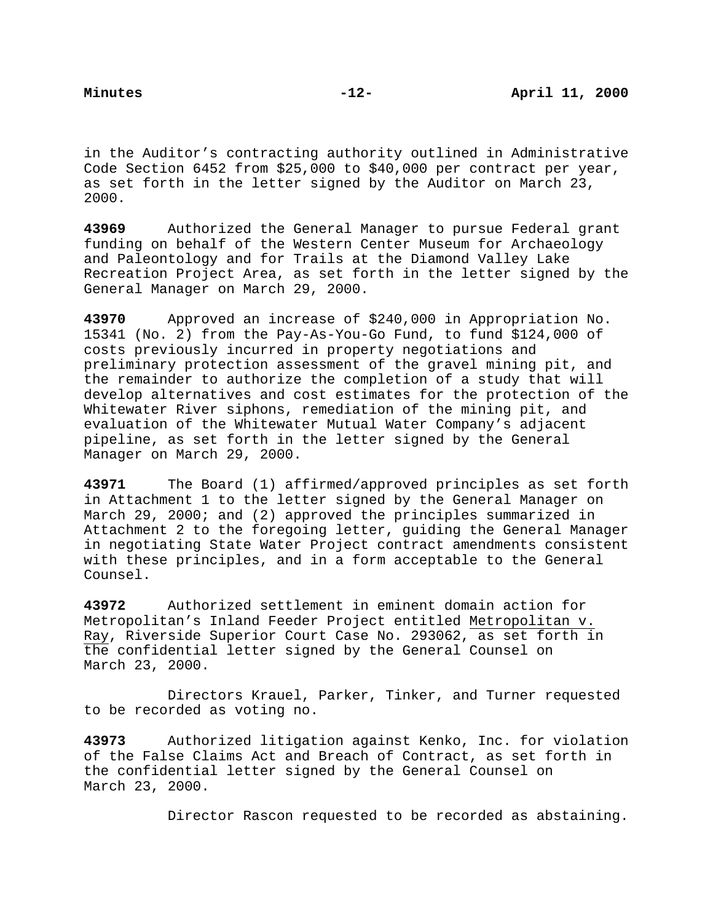in the Auditor's contracting authority outlined in Administrative Code Section 6452 from \$25,000 to \$40,000 per contract per year, as set forth in the letter signed by the Auditor on March 23, 2000.

**43969** Authorized the General Manager to pursue Federal grant funding on behalf of the Western Center Museum for Archaeology and Paleontology and for Trails at the Diamond Valley Lake Recreation Project Area, as set forth in the letter signed by the General Manager on March 29, 2000.

**43970** Approved an increase of \$240,000 in Appropriation No. 15341 (No. 2) from the Pay-As-You-Go Fund, to fund \$124,000 of costs previously incurred in property negotiations and preliminary protection assessment of the gravel mining pit, and the remainder to authorize the completion of a study that will develop alternatives and cost estimates for the protection of the Whitewater River siphons, remediation of the mining pit, and evaluation of the Whitewater Mutual Water Company's adjacent pipeline, as set forth in the letter signed by the General Manager on March 29, 2000.

**43971** The Board (1) affirmed/approved principles as set forth in Attachment 1 to the letter signed by the General Manager on March 29, 2000; and (2) approved the principles summarized in Attachment 2 to the foregoing letter, guiding the General Manager in negotiating State Water Project contract amendments consistent with these principles, and in a form acceptable to the General Counsel.

**43972** Authorized settlement in eminent domain action for Metropolitan's Inland Feeder Project entitled Metropolitan v. Ray, Riverside Superior Court Case No. 293062, as set forth in the confidential letter signed by the General Counsel on March 23, 2000.

Directors Krauel, Parker, Tinker, and Turner requested to be recorded as voting no.

**43973** Authorized litigation against Kenko, Inc. for violation of the False Claims Act and Breach of Contract, as set forth in the confidential letter signed by the General Counsel on March 23, 2000.

Director Rascon requested to be recorded as abstaining.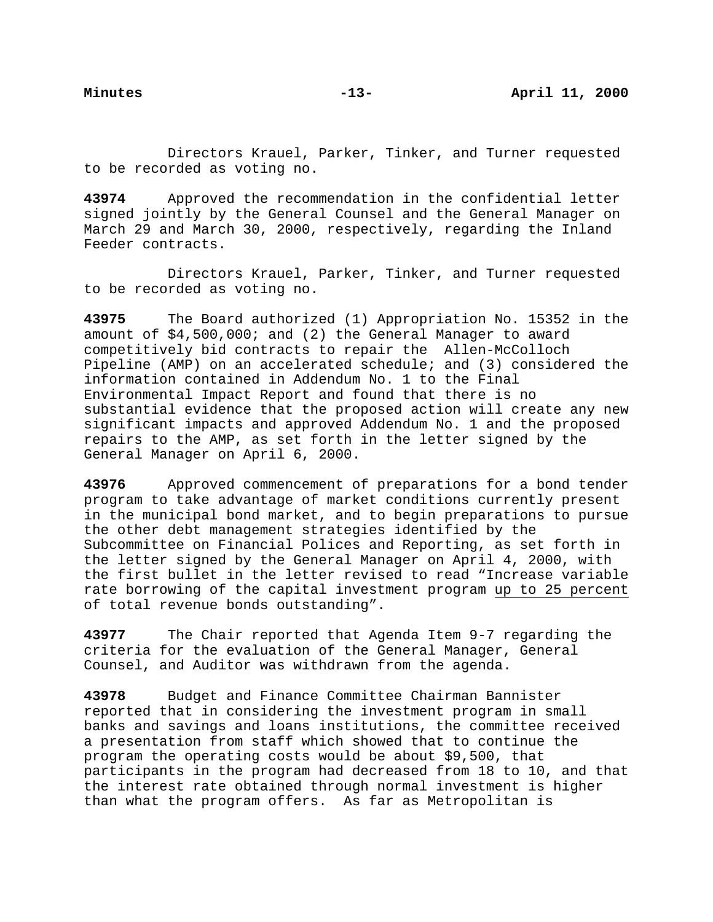Directors Krauel, Parker, Tinker, and Turner requested to be recorded as voting no.

**43974** Approved the recommendation in the confidential letter signed jointly by the General Counsel and the General Manager on March 29 and March 30, 2000, respectively, regarding the Inland Feeder contracts.

Directors Krauel, Parker, Tinker, and Turner requested to be recorded as voting no.

**43975** The Board authorized (1) Appropriation No. 15352 in the amount of \$4,500,000; and (2) the General Manager to award competitively bid contracts to repair the Allen-McColloch Pipeline (AMP) on an accelerated schedule; and (3) considered the information contained in Addendum No. 1 to the Final Environmental Impact Report and found that there is no substantial evidence that the proposed action will create any new significant impacts and approved Addendum No. 1 and the proposed repairs to the AMP, as set forth in the letter signed by the General Manager on April 6, 2000.

**43976** Approved commencement of preparations for a bond tender program to take advantage of market conditions currently present in the municipal bond market, and to begin preparations to pursue the other debt management strategies identified by the Subcommittee on Financial Polices and Reporting, as set forth in the letter signed by the General Manager on April 4, 2000, with the first bullet in the letter revised to read "Increase variable rate borrowing of the capital investment program up to 25 percent of total revenue bonds outstanding".

**43977** The Chair reported that Agenda Item 9-7 regarding the criteria for the evaluation of the General Manager, General Counsel, and Auditor was withdrawn from the agenda.

**43978** Budget and Finance Committee Chairman Bannister reported that in considering the investment program in small banks and savings and loans institutions, the committee received a presentation from staff which showed that to continue the program the operating costs would be about \$9,500, that participants in the program had decreased from 18 to 10, and that the interest rate obtained through normal investment is higher than what the program offers. As far as Metropolitan is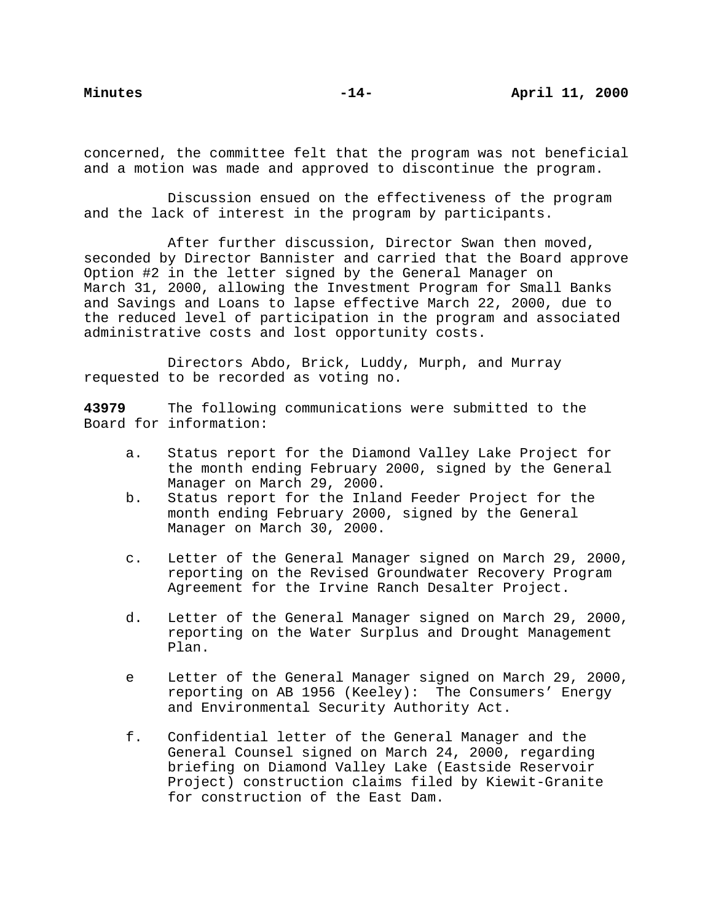concerned, the committee felt that the program was not beneficial and a motion was made and approved to discontinue the program.

Discussion ensued on the effectiveness of the program and the lack of interest in the program by participants.

After further discussion, Director Swan then moved, seconded by Director Bannister and carried that the Board approve Option #2 in the letter signed by the General Manager on March 31, 2000, allowing the Investment Program for Small Banks and Savings and Loans to lapse effective March 22, 2000, due to the reduced level of participation in the program and associated administrative costs and lost opportunity costs.

Directors Abdo, Brick, Luddy, Murph, and Murray requested to be recorded as voting no.

**43979** The following communications were submitted to the Board for information:

- a. Status report for the Diamond Valley Lake Project for the month ending February 2000, signed by the General Manager on March 29, 2000.
- b. Status report for the Inland Feeder Project for the month ending February 2000, signed by the General Manager on March 30, 2000.
- c. Letter of the General Manager signed on March 29, 2000, reporting on the Revised Groundwater Recovery Program Agreement for the Irvine Ranch Desalter Project.
- d. Letter of the General Manager signed on March 29, 2000, reporting on the Water Surplus and Drought Management Plan.
- e Letter of the General Manager signed on March 29, 2000, reporting on AB 1956 (Keeley): The Consumers' Energy and Environmental Security Authority Act.
- f. Confidential letter of the General Manager and the General Counsel signed on March 24, 2000, regarding briefing on Diamond Valley Lake (Eastside Reservoir Project) construction claims filed by Kiewit-Granite for construction of the East Dam.